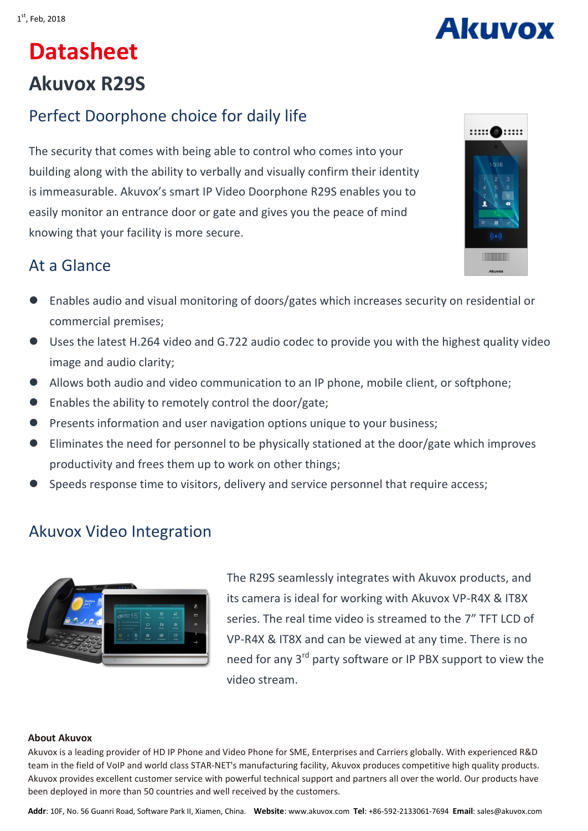# **Akuvox**

# **Datasheet Akuvox R29S**

# Perfect Doorphone choice for daily life

The security that comes with being able to control who comes into your building along with the ability to verbally and visually confirm their identity is immeasurable. Akuvox's smart IP Video Doorphone R29S enables you to easily monitor an entrance door or gate and gives you the peace of mind knowing that your facility is more secure.



## At a Glance

- Enables audio and visual monitoring of doors/gates which increases security on residential or commercial premises;
- Uses the latest H.264 video and G.722 audio codec to provide you with the highest quality video image and audio clarity;
- Allows both audio and video communication to an IP phone, mobile client, or softphone;
- Enables the ability to remotely control the door/gate;
- Presents information and user navigation options unique to your business;
- Eliminates the need for personnel to be physically stationed at the door/gate which improves productivity and frees them up to work on other things;
- Speeds response time to visitors, delivery and service personnel that require access;

### Akuvox Video Integration



The R29S seamlessly integrates with Akuvox products, and its camera is ideal for working with Akuvox VP-R4X & IT8X series. The real time video is streamed to the 7" TFT LCD of VP-R4X & IT8X and can be viewed at any time. There is no need for any 3<sup>rd</sup> party software or IP PBX support to view the video stream.

#### **About Akuvox**

Akuvox is a leading provider of HD IP Phone and Video Phone for SME, Enterprises and Carriers globally. With experienced R&D team in the field of VoIP and world class STAR-NET's manufacturing facility, Akuvox produces competitive high quality products. Akuvox provides excellent customer service with powerful technical support and partners all over the world. Our products have been deployed in more than 50 countries and well received by the customers.

**Addr**: 10F, No. 56 Guanri Road, Software Park II, Xiamen, China. **Website**: www.akuvox.com **Tel**: +86-592-2133061-7694 **Email**: sales@akuvox.com